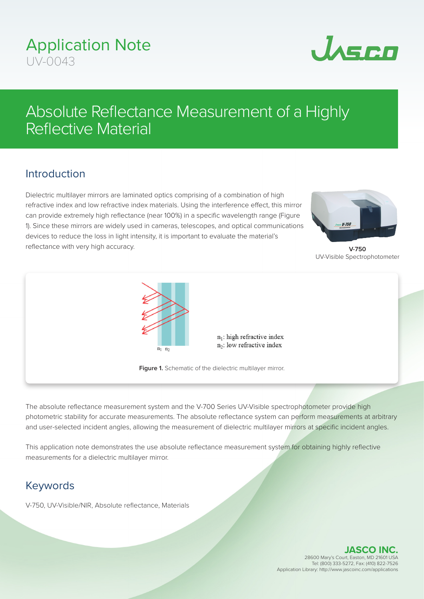## Application Note  $UN-0043$



# Absolute Reflectance Measurement of a Highly Reflective Material

### Introduction

Dielectric multilayer mirrors are laminated optics comprising of a combination of high refractive index and low refractive index materials. Using the interference effect, this mirror can provide extremely high reflectance (near 100%) in a specific wavelength range (Figure 1). Since these mirrors are widely used in cameras, telescopes, and optical communications devices to reduce the loss in light intensity, it is important to evaluate the material's reflectance with very high accuracy.



**V-750** UV-Visible Spectrophotometer



 $n_1$ : high refractive index  $n_2$ : low refractive index

**Figure 1.** Schematic of the dielectric multilayer mirror.

The absolute reflectance measurement system and the V-700 Series UV-Visible spectrophotometer provide high photometric stability for accurate measurements. The absolute reflectance system can perform measurements at arbitrary and user-selected incident angles, allowing the measurement of dielectric multilayer mirrors at specific incident angles.

This application note demonstrates the use absolute reflectance measurement system for obtaining highly reflective measurements for a dielectric multilayer mirror.

#### Keywords

V-750, UV-Visible/NIR, Absolute reflectance, Materials

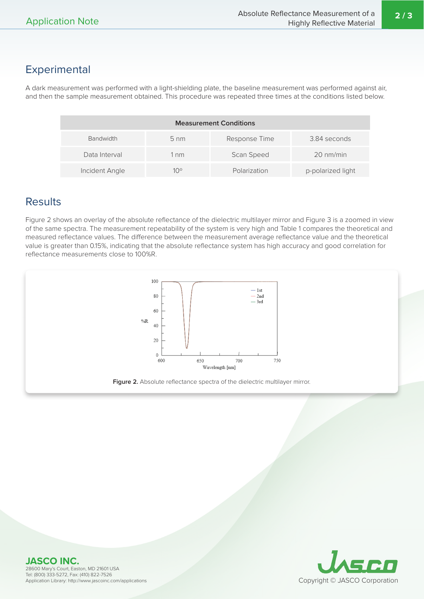#### Experimental

A dark measurement was performed with a light-shielding plate, the baseline measurement was performed against air, and then the sample measurement obtained. This procedure was repeated three times at the conditions listed below.

| <b>Measurement Conditions</b> |                |               |                   |  |  |  |  |  |  |
|-------------------------------|----------------|---------------|-------------------|--|--|--|--|--|--|
| <b>Bandwidth</b>              | $5 \text{ nm}$ | Response Time | 3.84 seconds      |  |  |  |  |  |  |
| Data Interval                 | 1 nm           | Scan Speed    | 20 nm/min         |  |  |  |  |  |  |
| Incident Angle                | $10^{\circ}$   | Polarization  | p-polarized light |  |  |  |  |  |  |

#### **Results**

Figure 2 shows an overlay of the absolute reflectance of the dielectric multilayer mirror and Figure 3 is a zoomed in view of the same spectra. The measurement repeatability of the system is very high and Table 1 compares the theoretical and measured reflectance values. The difference between the measurement average reflectance value and the theoretical value is greater than 0.15%, indicating that the absolute reflectance system has high accuracy and good correlation for reflectance measurements close to 100%R.



**JASCO INC.** 28600 Mary's Court, Easton, MD 21601 USA Tel: (800) 333-5272, Fax: (410) 822-7526 Application Library: http://www.jascoinc.com/applications